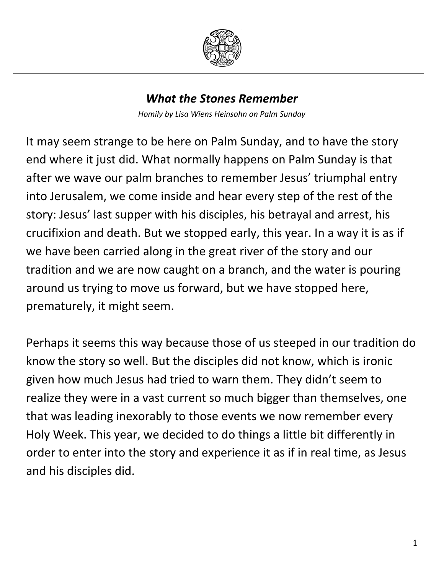

## *What the Stones Remember*

*Homily by Lisa Wiens Heinsohn on Palm Sunday*

It may seem strange to be here on Palm Sunday, and to have the story end where it just did. What normally happens on Palm Sunday is that after we wave our palm branches to remember Jesus' triumphal entry into Jerusalem, we come inside and hear every step of the rest of the story: Jesus' last supper with his disciples, his betrayal and arrest, his crucifixion and death. But we stopped early, this year. In a way it is as if we have been carried along in the great river of the story and our tradition and we are now caught on a branch, and the water is pouring around us trying to move us forward, but we have stopped here, prematurely, it might seem.

Perhaps it seems this way because those of us steeped in our tradition do know the story so well. But the disciples did not know, which is ironic given how much Jesus had tried to warn them. They didn't seem to realize they were in a vast current so much bigger than themselves, one that was leading inexorably to those events we now remember every Holy Week. This year, we decided to do things a little bit differently in order to enter into the story and experience it as if in real time, as Jesus and his disciples did.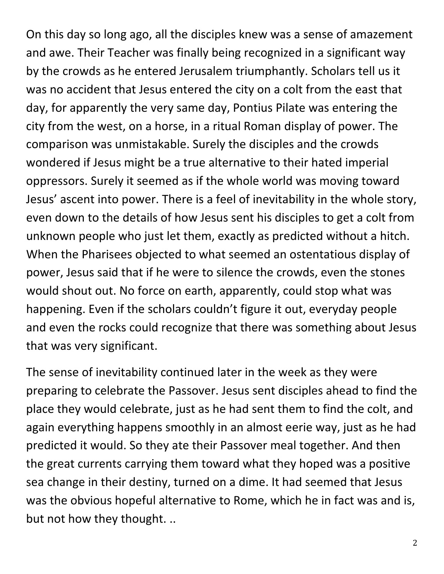On this day so long ago, all the disciples knew was a sense of amazement and awe. Their Teacher was finally being recognized in a significant way by the crowds as he entered Jerusalem triumphantly. Scholars tell us it was no accident that Jesus entered the city on a colt from the east that day, for apparently the very same day, Pontius Pilate was entering the city from the west, on a horse, in a ritual Roman display of power. The comparison was unmistakable. Surely the disciples and the crowds wondered if Jesus might be a true alternative to their hated imperial oppressors. Surely it seemed as if the whole world was moving toward Jesus' ascent into power. There is a feel of inevitability in the whole story, even down to the details of how Jesus sent his disciples to get a colt from unknown people who just let them, exactly as predicted without a hitch. When the Pharisees objected to what seemed an ostentatious display of power, Jesus said that if he were to silence the crowds, even the stones would shout out. No force on earth, apparently, could stop what was happening. Even if the scholars couldn't figure it out, everyday people and even the rocks could recognize that there was something about Jesus that was very significant.

The sense of inevitability continued later in the week as they were preparing to celebrate the Passover. Jesus sent disciples ahead to find the place they would celebrate, just as he had sent them to find the colt, and again everything happens smoothly in an almost eerie way, just as he had predicted it would. So they ate their Passover meal together. And then the great currents carrying them toward what they hoped was a positive sea change in their destiny, turned on a dime. It had seemed that Jesus was the obvious hopeful alternative to Rome, which he in fact was and is, but not how they thought. ..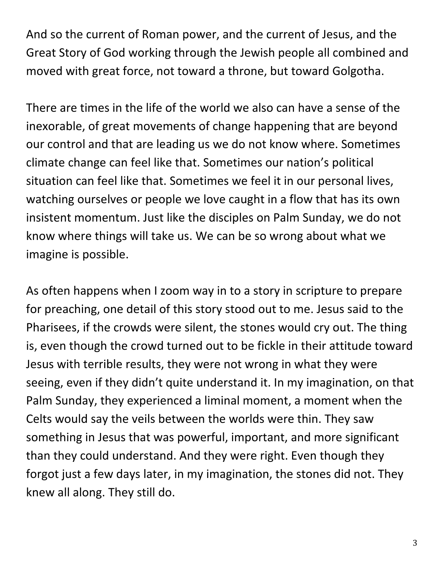And so the current of Roman power, and the current of Jesus, and the Great Story of God working through the Jewish people all combined and moved with great force, not toward a throne, but toward Golgotha.

There are times in the life of the world we also can have a sense of the inexorable, of great movements of change happening that are beyond our control and that are leading us we do not know where. Sometimes climate change can feel like that. Sometimes our nation's political situation can feel like that. Sometimes we feel it in our personal lives, watching ourselves or people we love caught in a flow that has its own insistent momentum. Just like the disciples on Palm Sunday, we do not know where things will take us. We can be so wrong about what we imagine is possible.

As often happens when I zoom way in to a story in scripture to prepare for preaching, one detail of this story stood out to me. Jesus said to the Pharisees, if the crowds were silent, the stones would cry out. The thing is, even though the crowd turned out to be fickle in their attitude toward Jesus with terrible results, they were not wrong in what they were seeing, even if they didn't quite understand it. In my imagination, on that Palm Sunday, they experienced a liminal moment, a moment when the Celts would say the veils between the worlds were thin. They saw something in Jesus that was powerful, important, and more significant than they could understand. And they were right. Even though they forgot just a few days later, in my imagination, the stones did not. They knew all along. They still do.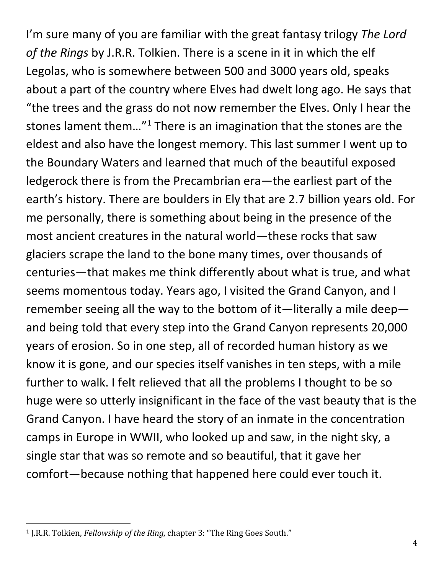I'm sure many of you are familiar with the great fantasy trilogy *The Lord of the Rings* by J.R.R. Tolkien. There is a scene in it in which the elf Legolas, who is somewhere between 500 and 3000 years old, speaks about a part of the country where Elves had dwelt long ago. He says that "the trees and the grass do not now remember the Elves. Only I hear the stones lament them... $^{\prime\prime}$ <sup>[1](#page-3-0)</sup> There is an imagination that the stones are the eldest and also have the longest memory. This last summer I went up to the Boundary Waters and learned that much of the beautiful exposed ledgerock there is from the Precambrian era—the earliest part of the earth's history. There are boulders in Ely that are 2.7 billion years old. For me personally, there is something about being in the presence of the most ancient creatures in the natural world—these rocks that saw glaciers scrape the land to the bone many times, over thousands of centuries—that makes me think differently about what is true, and what seems momentous today. Years ago, I visited the Grand Canyon, and I remember seeing all the way to the bottom of it—literally a mile deep and being told that every step into the Grand Canyon represents 20,000 years of erosion. So in one step, all of recorded human history as we know it is gone, and our species itself vanishes in ten steps, with a mile further to walk. I felt relieved that all the problems I thought to be so huge were so utterly insignificant in the face of the vast beauty that is the Grand Canyon. I have heard the story of an inmate in the concentration camps in Europe in WWII, who looked up and saw, in the night sky, a single star that was so remote and so beautiful, that it gave her comfort—because nothing that happened here could ever touch it.

<span id="page-3-0"></span> <sup>1</sup> J.R.R. Tolkien, *Fellowship of the Ring*, chapter 3: "The Ring Goes South."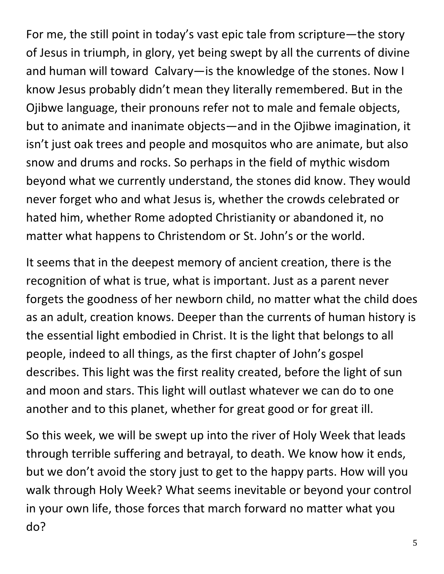For me, the still point in today's vast epic tale from scripture—the story of Jesus in triumph, in glory, yet being swept by all the currents of divine and human will toward Calvary—is the knowledge of the stones. Now I know Jesus probably didn't mean they literally remembered. But in the Ojibwe language, their pronouns refer not to male and female objects, but to animate and inanimate objects—and in the Ojibwe imagination, it isn't just oak trees and people and mosquitos who are animate, but also snow and drums and rocks. So perhaps in the field of mythic wisdom beyond what we currently understand, the stones did know. They would never forget who and what Jesus is, whether the crowds celebrated or hated him, whether Rome adopted Christianity or abandoned it, no matter what happens to Christendom or St. John's or the world.

It seems that in the deepest memory of ancient creation, there is the recognition of what is true, what is important. Just as a parent never forgets the goodness of her newborn child, no matter what the child does as an adult, creation knows. Deeper than the currents of human history is the essential light embodied in Christ. It is the light that belongs to all people, indeed to all things, as the first chapter of John's gospel describes. This light was the first reality created, before the light of sun and moon and stars. This light will outlast whatever we can do to one another and to this planet, whether for great good or for great ill.

So this week, we will be swept up into the river of Holy Week that leads through terrible suffering and betrayal, to death. We know how it ends, but we don't avoid the story just to get to the happy parts. How will you walk through Holy Week? What seems inevitable or beyond your control in your own life, those forces that march forward no matter what you do?